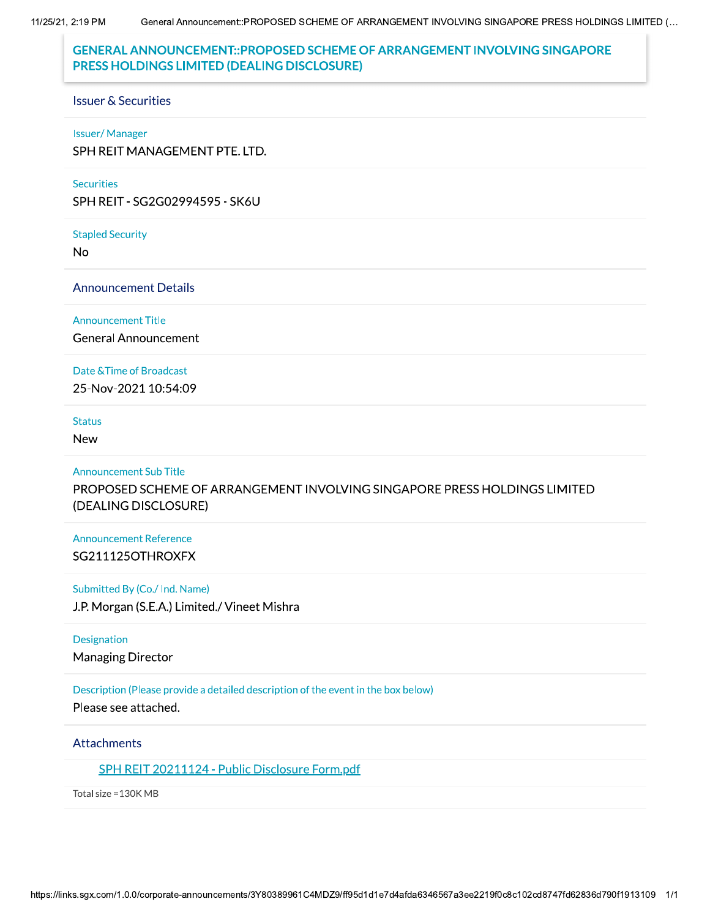General Announcement::PROPOSED SCHEME OF ARRANGEMENT INVOLVING SINGAPORE PRESS HOLDINGS LIMITED (... 11/25/21, 2:19 PM

# **GENERAL ANNOUNCEMENT::PROPOSED SCHEME OF ARRANGEMENT INVOLVING SINGAPORE** PRESS HOLDINGS LIMITED (DEALING DISCLOSURE)

#### **Issuer & Securities**

#### **Issuer/Manager**

SPH REIT MANAGEMENT PTE. LTD.

#### **Securities**

SPH REIT - SG2G02994595 - SK6U

**Stapled Security** 

**No** 

**Announcement Details** 

**Announcement Title** 

**General Announcement** 

#### Date & Time of Broadcast

25-Nov-2021 10:54:09

#### **Status**

**New** 

### **Announcement Sub Title**

PROPOSED SCHEME OF ARRANGEMENT INVOLVING SINGAPORE PRESS HOLDINGS LIMITED (DEALING DISCLOSURE)

## **Announcement Reference** SG211125OTHROXFX

### Submitted By (Co./ Ind. Name)

J.P. Morgan (S.E.A.) Limited./ Vineet Mishra

## Designation

**Managing Director** 

## Description (Please provide a detailed description of the event in the box below)

Please see attached.

## **Attachments**

SPH REIT 20211124 - Public Disclosure Form.pdf

Total size = 130K MB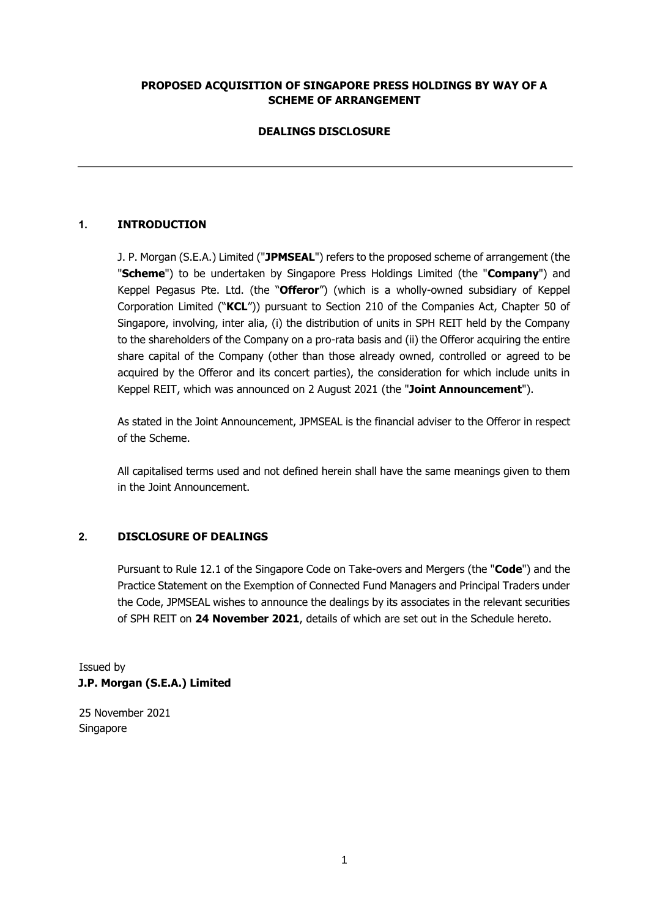## **PROPOSED ACQUISITION OF SINGAPORE PRESS HOLDINGS BY WAY OF A SCHEME OF ARRANGEMENT**

# **DEALINGS DISCLOSURE**

# **1. INTRODUCTION**

J. P. Morgan (S.E.A.) Limited ("**JPMSEAL**") refers to the proposed scheme of arrangement (the "**Scheme**") to be undertaken by Singapore Press Holdings Limited (the "**Company**") and Keppel Pegasus Pte. Ltd. (the "**Offeror**") (which is a wholly-owned subsidiary of Keppel Corporation Limited ("**KCL**")) pursuant to Section 210 of the Companies Act, Chapter 50 of Singapore, involving, inter alia, (i) the distribution of units in SPH REIT held by the Company to the shareholders of the Company on a pro-rata basis and (ii) the Offeror acquiring the entire share capital of the Company (other than those already owned, controlled or agreed to be acquired by the Offeror and its concert parties), the consideration for which include units in Keppel REIT, which was announced on 2 August 2021 (the "**Joint Announcement**").

As stated in the Joint Announcement, JPMSEAL is the financial adviser to the Offeror in respect of the Scheme.

All capitalised terms used and not defined herein shall have the same meanings given to them in the Joint Announcement.

## **2. DISCLOSURE OF DEALINGS**

Pursuant to Rule 12.1 of the Singapore Code on Take-overs and Mergers (the "**Code**") and the Practice Statement on the Exemption of Connected Fund Managers and Principal Traders under the Code, JPMSEAL wishes to announce the dealings by its associates in the relevant securities of SPH REIT on **24 November 2021**, details of which are set out in the Schedule hereto.

Issued by **J.P. Morgan (S.E.A.) Limited** 

25 November 2021 Singapore